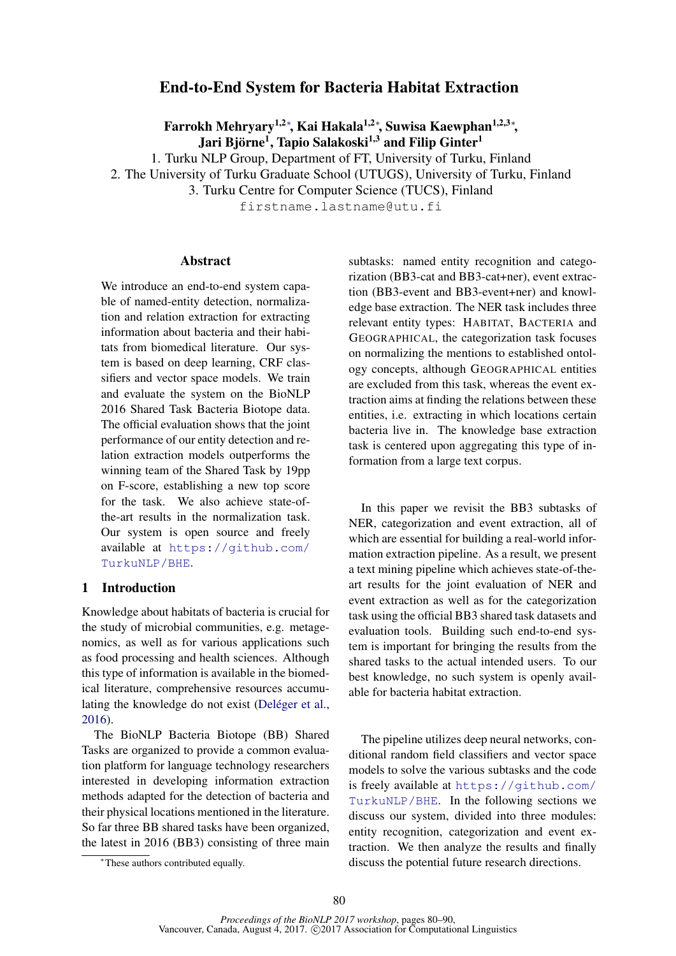# End-to-End System for Bacteria Habitat Extraction

Farrokh Mehryary<sup>1,2</sup>\*, Kai Hakala<sup>1,2</sup>\*, Suwisa Kaewphan<sup>1,2,3</sup>\*, Jari Björne<sup>1</sup>, Tapio Salakoski<sup>1,3</sup> and Filip Ginter<sup>1</sup>

1. Turku NLP Group, Department of FT, University of Turku, Finland 2. The University of Turku Graduate School (UTUGS), University of Turku, Finland

3. Turku Centre for Computer Science (TUCS), Finland

firstname.lastname@utu.fi

### Abstract

We introduce an end-to-end system capable of named-entity detection, normalization and relation extraction for extracting information about bacteria and their habitats from biomedical literature. Our system is based on deep learning, CRF classifiers and vector space models. We train and evaluate the system on the BioNLP 2016 Shared Task Bacteria Biotope data. The official evaluation shows that the joint performance of our entity detection and relation extraction models outperforms the winning team of the Shared Task by 19pp on F-score, establishing a new top score for the task. We also achieve state-ofthe-art results in the normalization task. Our system is open source and freely available at https://github.com/ TurkuNLP/BHE.

#### 1 Introduction

Knowledge about habitats of bacteria is crucial for the study of microbial communities, e.g. metagenomics, as well as for various applications such as food processing and health sciences. Although this type of information is available in the biomedical literature, comprehensive resources accumulating the knowledge do not exist (Deléger et al., 2016).

The BioNLP Bacteria Biotope (BB) Shared Tasks are organized to provide a common evaluation platform for language technology researchers interested in developing information extraction methods adapted for the detection of bacteria and their physical locations mentioned in the literature. So far three BB shared tasks have been organized, the latest in 2016 (BB3) consisting of three main

<sup>∗</sup>These authors contributed equally.

subtasks: named entity recognition and categorization (BB3-cat and BB3-cat+ner), event extraction (BB3-event and BB3-event+ner) and knowledge base extraction. The NER task includes three relevant entity types: HABITAT, BACTERIA and GEOGRAPHICAL, the categorization task focuses on normalizing the mentions to established ontology concepts, although GEOGRAPHICAL entities are excluded from this task, whereas the event extraction aims at finding the relations between these entities, i.e. extracting in which locations certain bacteria live in. The knowledge base extraction task is centered upon aggregating this type of information from a large text corpus.

In this paper we revisit the BB3 subtasks of NER, categorization and event extraction, all of which are essential for building a real-world information extraction pipeline. As a result, we present a text mining pipeline which achieves state-of-theart results for the joint evaluation of NER and event extraction as well as for the categorization task using the official BB3 shared task datasets and evaluation tools. Building such end-to-end system is important for bringing the results from the shared tasks to the actual intended users. To our best knowledge, no such system is openly available for bacteria habitat extraction.

The pipeline utilizes deep neural networks, conditional random field classifiers and vector space models to solve the various subtasks and the code is freely available at https://github.com/ TurkuNLP/BHE. In the following sections we discuss our system, divided into three modules: entity recognition, categorization and event extraction. We then analyze the results and finally discuss the potential future research directions.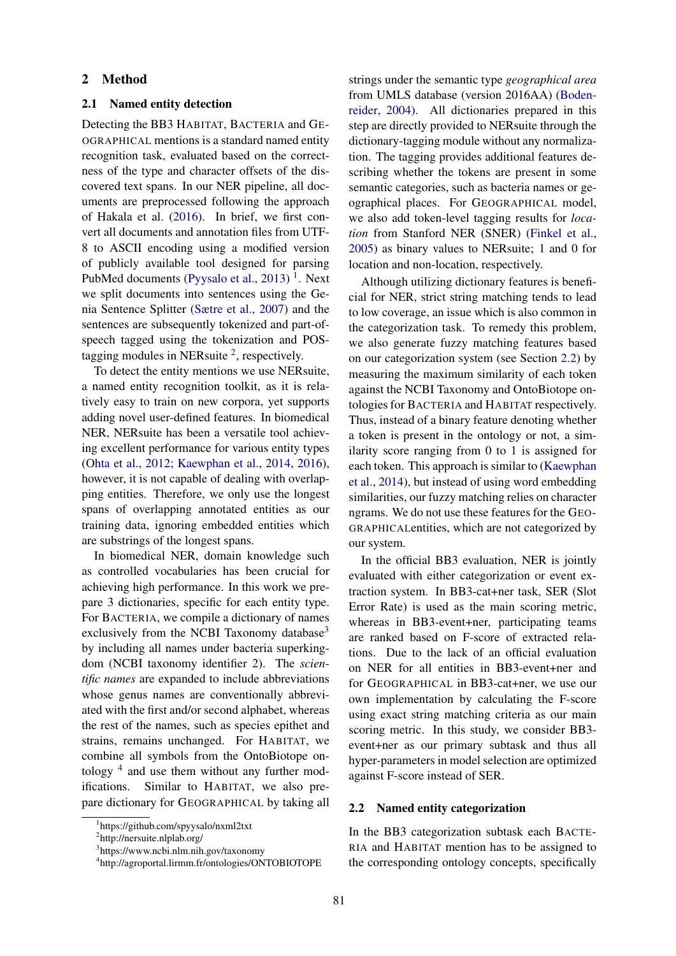### 2 Method

## 2.1 Named entity detection

Detecting the BB3 HABITAT, BACTERIA and GE-OGRAPHICAL mentions is a standard named entity recognition task, evaluated based on the correctness of the type and character offsets of the discovered text spans. In our NER pipeline, all documents are preprocessed following the approach of Hakala et al. (2016). In brief, we first convert all documents and annotation files from UTF-8 to ASCII encoding using a modified version of publicly available tool designed for parsing PubMed documents (Pyysalo et al., 2013)<sup>1</sup>. Next we split documents into sentences using the Genia Sentence Splitter (Sætre et al., 2007) and the sentences are subsequently tokenized and part-ofspeech tagged using the tokenization and POStagging modules in NER suite  $2$ , respectively.

To detect the entity mentions we use NERsuite, a named entity recognition toolkit, as it is relatively easy to train on new corpora, yet supports adding novel user-defined features. In biomedical NER, NERsuite has been a versatile tool achieving excellent performance for various entity types (Ohta et al., 2012; Kaewphan et al., 2014, 2016), however, it is not capable of dealing with overlapping entities. Therefore, we only use the longest spans of overlapping annotated entities as our training data, ignoring embedded entities which are substrings of the longest spans.

In biomedical NER, domain knowledge such as controlled vocabularies has been crucial for achieving high performance. In this work we prepare 3 dictionaries, specific for each entity type. For BACTERIA, we compile a dictionary of names exclusively from the NCBI Taxonomy database<sup>3</sup> by including all names under bacteria superkingdom (NCBI taxonomy identifier 2). The *scientific names* are expanded to include abbreviations whose genus names are conventionally abbreviated with the first and/or second alphabet, whereas the rest of the names, such as species epithet and strains, remains unchanged. For HABITAT, we combine all symbols from the OntoBiotope ontology<sup>4</sup> and use them without any further modifications. Similar to HABITAT, we also prepare dictionary for GEOGRAPHICAL by taking all

<sup>2</sup>http://nersuite.nlplab.org/

strings under the semantic type *geographical area* from UMLS database (version 2016AA) (Bodenreider, 2004). All dictionaries prepared in this step are directly provided to NERsuite through the dictionary-tagging module without any normalization. The tagging provides additional features describing whether the tokens are present in some semantic categories, such as bacteria names or geographical places. For GEOGRAPHICAL model, we also add token-level tagging results for *location* from Stanford NER (SNER) (Finkel et al., 2005) as binary values to NERsuite; 1 and 0 for location and non-location, respectively.

Although utilizing dictionary features is beneficial for NER, strict string matching tends to lead to low coverage, an issue which is also common in the categorization task. To remedy this problem, we also generate fuzzy matching features based on our categorization system (see Section 2.2) by measuring the maximum similarity of each token against the NCBI Taxonomy and OntoBiotope ontologies for BACTERIA and HABITAT respectively. Thus, instead of a binary feature denoting whether a token is present in the ontology or not, a similarity score ranging from 0 to 1 is assigned for each token. This approach is similar to (Kaewphan et al., 2014), but instead of using word embedding similarities, our fuzzy matching relies on character ngrams. We do not use these features for the GEO-GRAPHICALentities, which are not categorized by our system.

In the official BB3 evaluation, NER is jointly evaluated with either categorization or event extraction system. In BB3-cat+ner task, SER (Slot Error Rate) is used as the main scoring metric, whereas in BB3-event+ner, participating teams are ranked based on F-score of extracted relations. Due to the lack of an official evaluation on NER for all entities in BB3-event+ner and for GEOGRAPHICAL in BB3-cat+ner, we use our own implementation by calculating the F-score using exact string matching criteria as our main scoring metric. In this study, we consider BB3 event+ner as our primary subtask and thus all hyper-parameters in model selection are optimized against F-score instead of SER.

#### 2.2 Named entity categorization

In the BB3 categorization subtask each BACTE-RIA and HABITAT mention has to be assigned to the corresponding ontology concepts, specifically

<sup>1</sup> https://github.com/spyysalo/nxml2txt

<sup>3</sup> https://www.ncbi.nlm.nih.gov/taxonomy

<sup>4</sup> http://agroportal.lirmm.fr/ontologies/ONTOBIOTOPE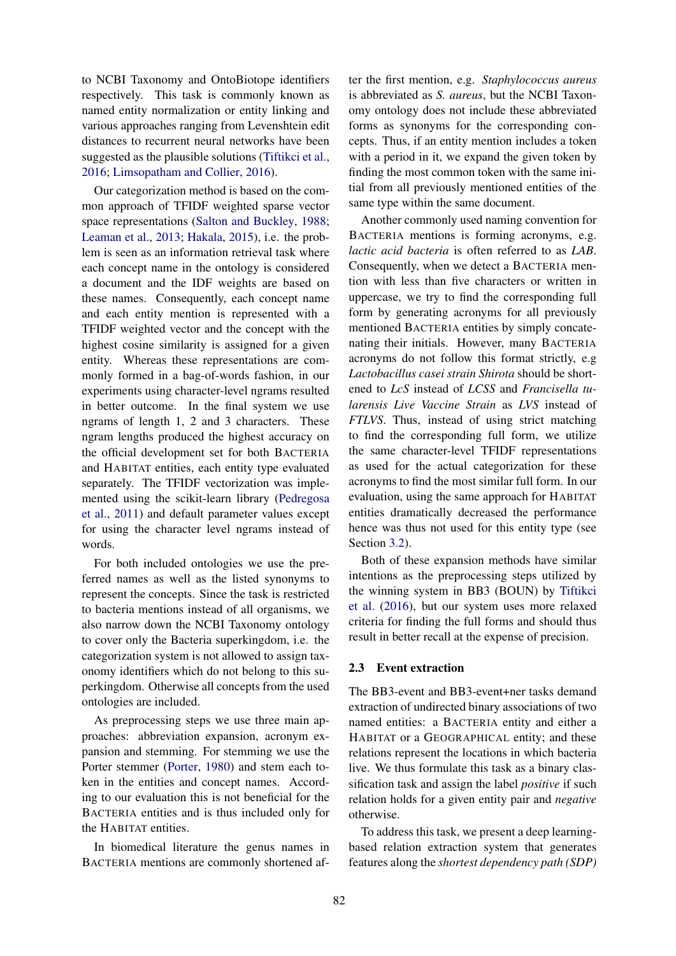to NCBI Taxonomy and OntoBiotope identifiers respectively. This task is commonly known as named entity normalization or entity linking and various approaches ranging from Levenshtein edit distances to recurrent neural networks have been suggested as the plausible solutions (Tiftikci et al., 2016; Limsopatham and Collier, 2016).

Our categorization method is based on the common approach of TFIDF weighted sparse vector space representations (Salton and Buckley, 1988; Leaman et al., 2013; Hakala, 2015), i.e. the problem is seen as an information retrieval task where each concept name in the ontology is considered a document and the IDF weights are based on these names. Consequently, each concept name and each entity mention is represented with a TFIDF weighted vector and the concept with the highest cosine similarity is assigned for a given entity. Whereas these representations are commonly formed in a bag-of-words fashion, in our experiments using character-level ngrams resulted in better outcome. In the final system we use ngrams of length 1, 2 and 3 characters. These ngram lengths produced the highest accuracy on the official development set for both BACTERIA and HABITAT entities, each entity type evaluated separately. The TFIDF vectorization was implemented using the scikit-learn library (Pedregosa et al., 2011) and default parameter values except for using the character level ngrams instead of words.

For both included ontologies we use the preferred names as well as the listed synonyms to represent the concepts. Since the task is restricted to bacteria mentions instead of all organisms, we also narrow down the NCBI Taxonomy ontology to cover only the Bacteria superkingdom, i.e. the categorization system is not allowed to assign taxonomy identifiers which do not belong to this superkingdom. Otherwise all concepts from the used ontologies are included.

As preprocessing steps we use three main approaches: abbreviation expansion, acronym expansion and stemming. For stemming we use the Porter stemmer (Porter, 1980) and stem each token in the entities and concept names. According to our evaluation this is not beneficial for the BACTERIA entities and is thus included only for the HABITAT entities.

In biomedical literature the genus names in BACTERIA mentions are commonly shortened after the first mention, e.g. *Staphylococcus aureus* is abbreviated as *S. aureus*, but the NCBI Taxonomy ontology does not include these abbreviated forms as synonyms for the corresponding concepts. Thus, if an entity mention includes a token with a period in it, we expand the given token by finding the most common token with the same initial from all previously mentioned entities of the same type within the same document.

Another commonly used naming convention for BACTERIA mentions is forming acronyms, e.g. *lactic acid bacteria* is often referred to as *LAB*. Consequently, when we detect a BACTERIA mention with less than five characters or written in uppercase, we try to find the corresponding full form by generating acronyms for all previously mentioned BACTERIA entities by simply concatenating their initials. However, many BACTERIA acronyms do not follow this format strictly, e.g *Lactobacillus casei strain Shirota* should be shortened to *LcS* instead of *LCSS* and *Francisella tularensis Live Vaccine Strain* as *LVS* instead of *FTLVS*. Thus, instead of using strict matching to find the corresponding full form, we utilize the same character-level TFIDF representations as used for the actual categorization for these acronyms to find the most similar full form. In our evaluation, using the same approach for HABITAT entities dramatically decreased the performance hence was thus not used for this entity type (see Section 3.2).

Both of these expansion methods have similar intentions as the preprocessing steps utilized by the winning system in BB3 (BOUN) by Tiftikci et al. (2016), but our system uses more relaxed criteria for finding the full forms and should thus result in better recall at the expense of precision.

#### 2.3 Event extraction

The BB3-event and BB3-event+ner tasks demand extraction of undirected binary associations of two named entities: a BACTERIA entity and either a HABITAT or a GEOGRAPHICAL entity; and these relations represent the locations in which bacteria live. We thus formulate this task as a binary classification task and assign the label *positive* if such relation holds for a given entity pair and *negative* otherwise.

To address this task, we present a deep learningbased relation extraction system that generates features along the *shortest dependency path (SDP)*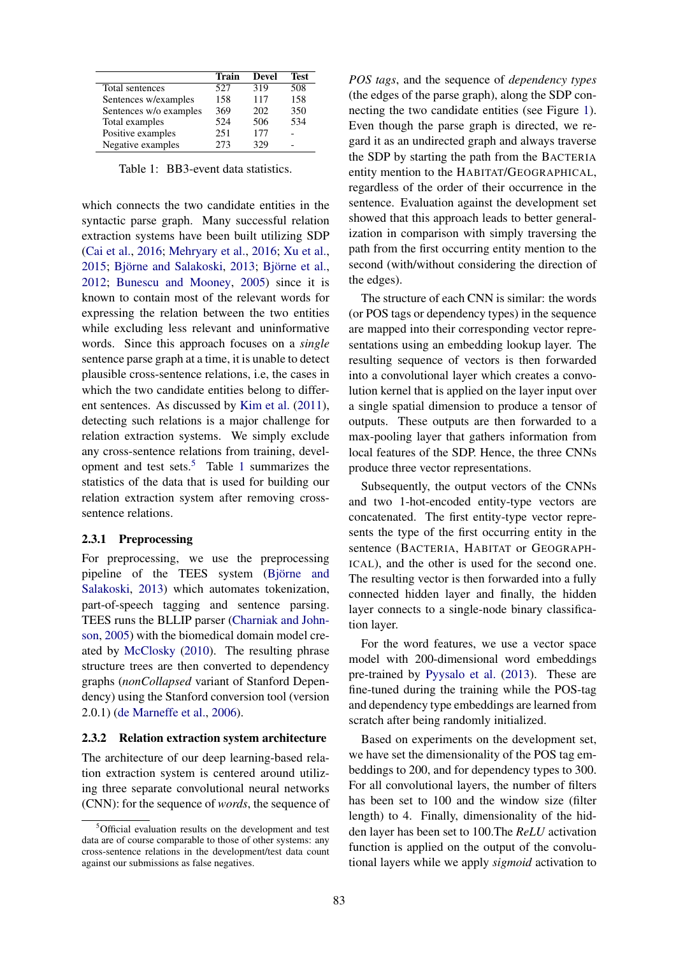|                        | <b>Train</b> | <b>Devel</b> | <b>Test</b> |
|------------------------|--------------|--------------|-------------|
| Total sentences        | 527          | 319          | 508         |
| Sentences w/examples   | 158          | 117          | 158         |
| Sentences w/o examples | 369          | 202          | 350         |
| Total examples         | 524          | 506          | 534         |
| Positive examples      | 251          | 177          |             |
| Negative examples      | 273          | 329          |             |

Table 1: BB3-event data statistics.

which connects the two candidate entities in the syntactic parse graph. Many successful relation extraction systems have been built utilizing SDP (Cai et al., 2016; Mehryary et al., 2016; Xu et al., 2015; Björne and Salakoski, 2013; Björne et al., 2012; Bunescu and Mooney, 2005) since it is known to contain most of the relevant words for expressing the relation between the two entities while excluding less relevant and uninformative words. Since this approach focuses on a *single* sentence parse graph at a time, it is unable to detect plausible cross-sentence relations, i.e, the cases in which the two candidate entities belong to different sentences. As discussed by Kim et al. (2011), detecting such relations is a major challenge for relation extraction systems. We simply exclude any cross-sentence relations from training, development and test sets.<sup>5</sup> Table 1 summarizes the statistics of the data that is used for building our relation extraction system after removing crosssentence relations.

### 2.3.1 Preprocessing

For preprocessing, we use the preprocessing pipeline of the TEES system (Björne and Salakoski, 2013) which automates tokenization, part-of-speech tagging and sentence parsing. TEES runs the BLLIP parser (Charniak and Johnson, 2005) with the biomedical domain model created by McClosky (2010). The resulting phrase structure trees are then converted to dependency graphs (*nonCollapsed* variant of Stanford Dependency) using the Stanford conversion tool (version 2.0.1) (de Marneffe et al., 2006).

#### 2.3.2 Relation extraction system architecture

The architecture of our deep learning-based relation extraction system is centered around utilizing three separate convolutional neural networks (CNN): for the sequence of *words*, the sequence of

*POS tags*, and the sequence of *dependency types* (the edges of the parse graph), along the SDP connecting the two candidate entities (see Figure 1). Even though the parse graph is directed, we regard it as an undirected graph and always traverse the SDP by starting the path from the BACTERIA entity mention to the HABITAT/GEOGRAPHICAL, regardless of the order of their occurrence in the sentence. Evaluation against the development set showed that this approach leads to better generalization in comparison with simply traversing the path from the first occurring entity mention to the second (with/without considering the direction of the edges).

The structure of each CNN is similar: the words (or POS tags or dependency types) in the sequence are mapped into their corresponding vector representations using an embedding lookup layer. The resulting sequence of vectors is then forwarded into a convolutional layer which creates a convolution kernel that is applied on the layer input over a single spatial dimension to produce a tensor of outputs. These outputs are then forwarded to a max-pooling layer that gathers information from local features of the SDP. Hence, the three CNNs produce three vector representations.

Subsequently, the output vectors of the CNNs and two 1-hot-encoded entity-type vectors are concatenated. The first entity-type vector represents the type of the first occurring entity in the sentence (BACTERIA, HABITAT or GEOGRAPH-ICAL), and the other is used for the second one. The resulting vector is then forwarded into a fully connected hidden layer and finally, the hidden layer connects to a single-node binary classification layer.

For the word features, we use a vector space model with 200-dimensional word embeddings pre-trained by Pyysalo et al. (2013). These are fine-tuned during the training while the POS-tag and dependency type embeddings are learned from scratch after being randomly initialized.

Based on experiments on the development set, we have set the dimensionality of the POS tag embeddings to 200, and for dependency types to 300. For all convolutional layers, the number of filters has been set to 100 and the window size (filter length) to 4. Finally, dimensionality of the hidden layer has been set to 100.The *ReLU* activation function is applied on the output of the convolutional layers while we apply *sigmoid* activation to

<sup>5</sup>Official evaluation results on the development and test data are of course comparable to those of other systems: any cross-sentence relations in the development/test data count against our submissions as false negatives.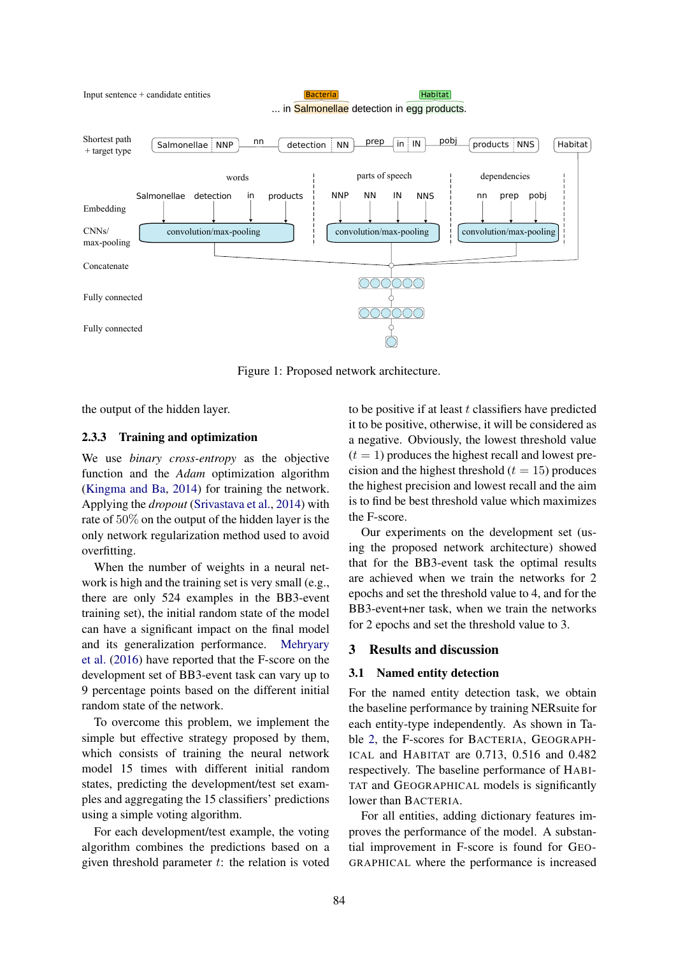

Figure 1: Proposed network architecture.

the output of the hidden layer.

#### 2.3.3 Training and optimization

We use *binary cross-entropy* as the objective function and the *Adam* optimization algorithm (Kingma and Ba, 2014) for training the network. Applying the *dropout* (Srivastava et al., 2014) with rate of 50% on the output of the hidden layer is the only network regularization method used to avoid overfitting.

When the number of weights in a neural network is high and the training set is very small (e.g., there are only 524 examples in the BB3-event training set), the initial random state of the model can have a significant impact on the final model and its generalization performance. Mehryary et al. (2016) have reported that the F-score on the development set of BB3-event task can vary up to 9 percentage points based on the different initial random state of the network.

To overcome this problem, we implement the simple but effective strategy proposed by them, which consists of training the neural network model 15 times with different initial random states, predicting the development/test set examples and aggregating the 15 classifiers' predictions using a simple voting algorithm.

For each development/test example, the voting algorithm combines the predictions based on a given threshold parameter  $t$ : the relation is voted to be positive if at least  $t$  classifiers have predicted it to be positive, otherwise, it will be considered as a negative. Obviously, the lowest threshold value  $(t = 1)$  produces the highest recall and lowest precision and the highest threshold  $(t = 15)$  produces the highest precision and lowest recall and the aim is to find be best threshold value which maximizes the F-score.

Our experiments on the development set (using the proposed network architecture) showed that for the BB3-event task the optimal results are achieved when we train the networks for 2 epochs and set the threshold value to 4, and for the BB3-event+ner task, when we train the networks for 2 epochs and set the threshold value to 3.

### 3 Results and discussion

#### 3.1 Named entity detection

For the named entity detection task, we obtain the baseline performance by training NERsuite for each entity-type independently. As shown in Table 2, the F-scores for BACTERIA, GEOGRAPH-ICAL and HABITAT are 0.713, 0.516 and 0.482 respectively. The baseline performance of HABI-TAT and GEOGRAPHICAL models is significantly lower than BACTERIA.

For all entities, adding dictionary features improves the performance of the model. A substantial improvement in F-score is found for GEO-GRAPHICAL where the performance is increased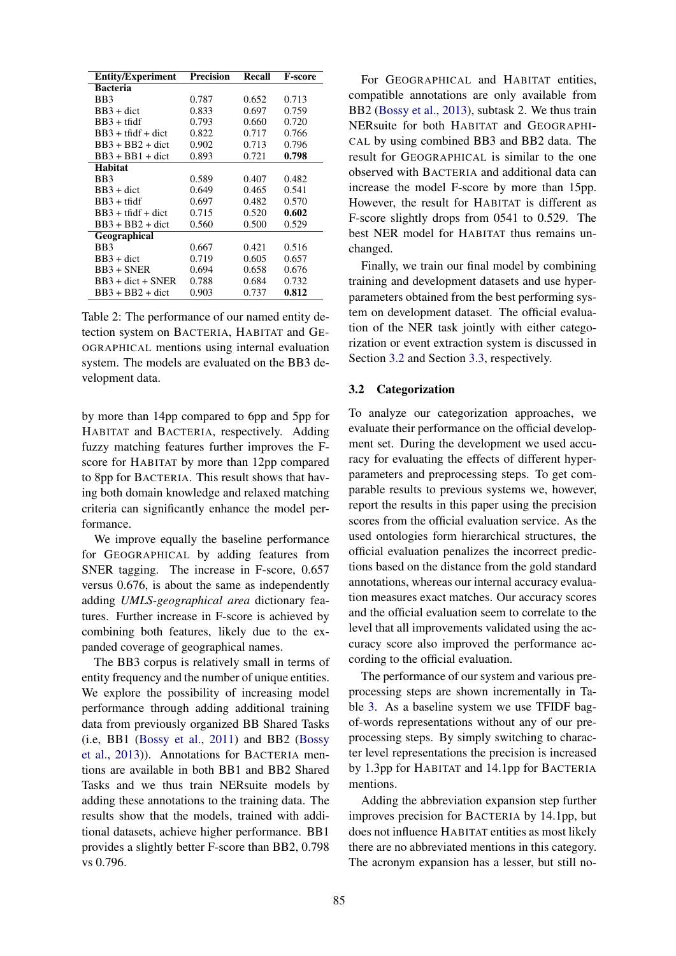| <b>Entity/Experiment</b> | <b>Precision</b> | Recall | <b>F-score</b> |
|--------------------------|------------------|--------|----------------|
| <b>Bacteria</b>          |                  |        |                |
| BB <sub>3</sub>          | 0.787            | 0.652  | 0.713          |
| $BB3 + dict$             | 0.833            | 0.697  | 0.759          |
| $BB3 + tfdf$             | 0.793            | 0.660  | 0.720          |
| $BB3 + tfdf + dict$      | 0.822            | 0.717  | 0.766          |
| $BB3 + BB2 + dict$       | 0.902            | 0.713  | 0.796          |
| $BB3 + BB1 + dict$       | 0.893            | 0.721  | 0.798          |
| Habitat                  |                  |        |                |
| BB3                      | 0.589            | 0.407  | 0.482          |
| $BB3 + dict$             | 0.649            | 0.465  | 0.541          |
| $BB3 + tfdf$             | 0.697            | 0.482  | 0.570          |
| $BB3 + tfdf + dict$      | 0.715            | 0.520  | 0.602          |
| $BB3 + BB2 + dict$       | 0.560            | 0.500  | 0.529          |
| Geographical             |                  |        |                |
| BB <sub>3</sub>          | 0.667            | 0.421  | 0.516          |
| $BB3 + dict$             | 0.719            | 0.605  | 0.657          |
| $BB3 + SNER$             | 0.694            | 0.658  | 0.676          |
| $BB3 + dict + SNER$      | 0.788            | 0.684  | 0.732          |
| $BB3 + BB2 + dict$       | 0.903            | 0.737  | 0.812          |

Table 2: The performance of our named entity detection system on BACTERIA, HABITAT and GE-OGRAPHICAL mentions using internal evaluation system. The models are evaluated on the BB3 development data.

by more than 14pp compared to 6pp and 5pp for HABITAT and BACTERIA, respectively. Adding fuzzy matching features further improves the Fscore for HABITAT by more than 12pp compared to 8pp for BACTERIA. This result shows that having both domain knowledge and relaxed matching criteria can significantly enhance the model performance.

We improve equally the baseline performance for GEOGRAPHICAL by adding features from SNER tagging. The increase in F-score, 0.657 versus 0.676, is about the same as independently adding *UMLS-geographical area* dictionary features. Further increase in F-score is achieved by combining both features, likely due to the expanded coverage of geographical names.

The BB3 corpus is relatively small in terms of entity frequency and the number of unique entities. We explore the possibility of increasing model performance through adding additional training data from previously organized BB Shared Tasks (i.e, BB1 (Bossy et al., 2011) and BB2 (Bossy et al., 2013)). Annotations for BACTERIA mentions are available in both BB1 and BB2 Shared Tasks and we thus train NERsuite models by adding these annotations to the training data. The results show that the models, trained with additional datasets, achieve higher performance. BB1 provides a slightly better F-score than BB2, 0.798 vs 0.796.

For GEOGRAPHICAL and HABITAT entities, compatible annotations are only available from BB2 (Bossy et al., 2013), subtask 2. We thus train NERsuite for both HABITAT and GEOGRAPHI-CAL by using combined BB3 and BB2 data. The result for GEOGRAPHICAL is similar to the one observed with BACTERIA and additional data can increase the model F-score by more than 15pp. However, the result for HABITAT is different as F-score slightly drops from 0541 to 0.529. The best NER model for HABITAT thus remains unchanged.

Finally, we train our final model by combining training and development datasets and use hyperparameters obtained from the best performing system on development dataset. The official evaluation of the NER task jointly with either categorization or event extraction system is discussed in Section 3.2 and Section 3.3, respectively.

#### 3.2 Categorization

To analyze our categorization approaches, we evaluate their performance on the official development set. During the development we used accuracy for evaluating the effects of different hyperparameters and preprocessing steps. To get comparable results to previous systems we, however, report the results in this paper using the precision scores from the official evaluation service. As the used ontologies form hierarchical structures, the official evaluation penalizes the incorrect predictions based on the distance from the gold standard annotations, whereas our internal accuracy evaluation measures exact matches. Our accuracy scores and the official evaluation seem to correlate to the level that all improvements validated using the accuracy score also improved the performance according to the official evaluation.

The performance of our system and various preprocessing steps are shown incrementally in Table 3. As a baseline system we use TFIDF bagof-words representations without any of our preprocessing steps. By simply switching to character level representations the precision is increased by 1.3pp for HABITAT and 14.1pp for BACTERIA mentions.

Adding the abbreviation expansion step further improves precision for BACTERIA by 14.1pp, but does not influence HABITAT entities as most likely there are no abbreviated mentions in this category. The acronym expansion has a lesser, but still no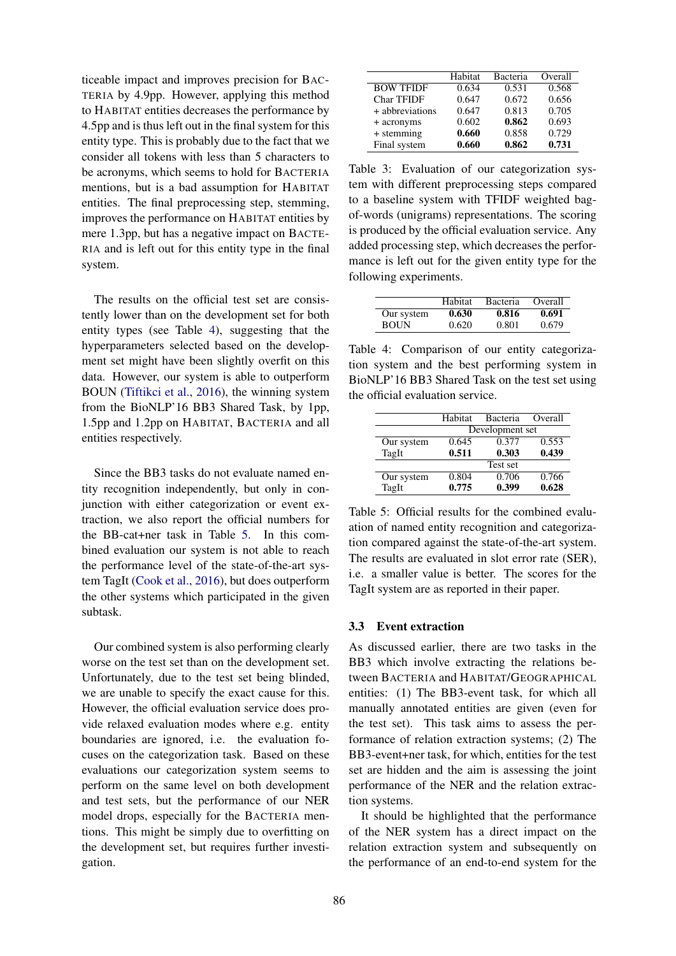ticeable impact and improves precision for BAC-TERIA by 4.9pp. However, applying this method to HABITAT entities decreases the performance by 4.5pp and is thus left out in the final system for this entity type. This is probably due to the fact that we consider all tokens with less than 5 characters to be acronyms, which seems to hold for BACTERIA mentions, but is a bad assumption for HABITAT entities. The final preprocessing step, stemming, improves the performance on HABITAT entities by mere 1.3pp, but has a negative impact on BACTE-RIA and is left out for this entity type in the final system.

The results on the official test set are consistently lower than on the development set for both entity types (see Table 4), suggesting that the hyperparameters selected based on the development set might have been slightly overfit on this data. However, our system is able to outperform BOUN (Tiftikci et al., 2016), the winning system from the BioNLP'16 BB3 Shared Task, by 1pp, 1.5pp and 1.2pp on HABITAT, BACTERIA and all entities respectively.

Since the BB3 tasks do not evaluate named entity recognition independently, but only in conjunction with either categorization or event extraction, we also report the official numbers for the BB-cat+ner task in Table 5. In this combined evaluation our system is not able to reach the performance level of the state-of-the-art system TagIt (Cook et al., 2016), but does outperform the other systems which participated in the given subtask.

Our combined system is also performing clearly worse on the test set than on the development set. Unfortunately, due to the test set being blinded, we are unable to specify the exact cause for this. However, the official evaluation service does provide relaxed evaluation modes where e.g. entity boundaries are ignored, i.e. the evaluation focuses on the categorization task. Based on these evaluations our categorization system seems to perform on the same level on both development and test sets, but the performance of our NER model drops, especially for the BACTERIA mentions. This might be simply due to overfitting on the development set, but requires further investigation.

|                   | Habitat | Bacteria | Overall |
|-------------------|---------|----------|---------|
| <b>BOW TFIDF</b>  | 0.634   | 0.531    | 0.568   |
| <b>Char TFIDF</b> | 0.647   | 0.672    | 0.656   |
| + abbreviations   | 0.647   | 0.813    | 0.705   |
| + acronyms        | 0.602   | 0.862    | 0.693   |
| + stemming        | 0.660   | 0.858    | 0.729   |
| Final system      | 0.660   | 0.862    | 0.731   |

Table 3: Evaluation of our categorization system with different preprocessing steps compared to a baseline system with TFIDF weighted bagof-words (unigrams) representations. The scoring is produced by the official evaluation service. Any added processing step, which decreases the performance is left out for the given entity type for the following experiments.

|             | Habitat | <b>Bacteria</b> | Overall |
|-------------|---------|-----------------|---------|
| Our system  | 0.630   | 0.816           | 0.691   |
| <b>BOUN</b> | 0.620   | 0.801           | 0.679   |

Table 4: Comparison of our entity categorization system and the best performing system in BioNLP'16 BB3 Shared Task on the test set using the official evaluation service.

|            | Habitat         | Bacteria | Overall |  |
|------------|-----------------|----------|---------|--|
|            | Development set |          |         |  |
| Our system | 0.645           | 0.377    | 0.553   |  |
| TagIt      | 0.511           | 0.303    | 0.439   |  |
|            |                 | Test set |         |  |
| Our system | 0.804           | 0.706    | 0.766   |  |
| TagIt      | 0.775           | 0.399    | 0.628   |  |

Table 5: Official results for the combined evaluation of named entity recognition and categorization compared against the state-of-the-art system. The results are evaluated in slot error rate (SER), i.e. a smaller value is better. The scores for the TagIt system are as reported in their paper.

### 3.3 Event extraction

As discussed earlier, there are two tasks in the BB3 which involve extracting the relations between BACTERIA and HABITAT/GEOGRAPHICAL entities: (1) The BB3-event task, for which all manually annotated entities are given (even for the test set). This task aims to assess the performance of relation extraction systems; (2) The BB3-event+ner task, for which, entities for the test set are hidden and the aim is assessing the joint performance of the NER and the relation extraction systems.

It should be highlighted that the performance of the NER system has a direct impact on the relation extraction system and subsequently on the performance of an end-to-end system for the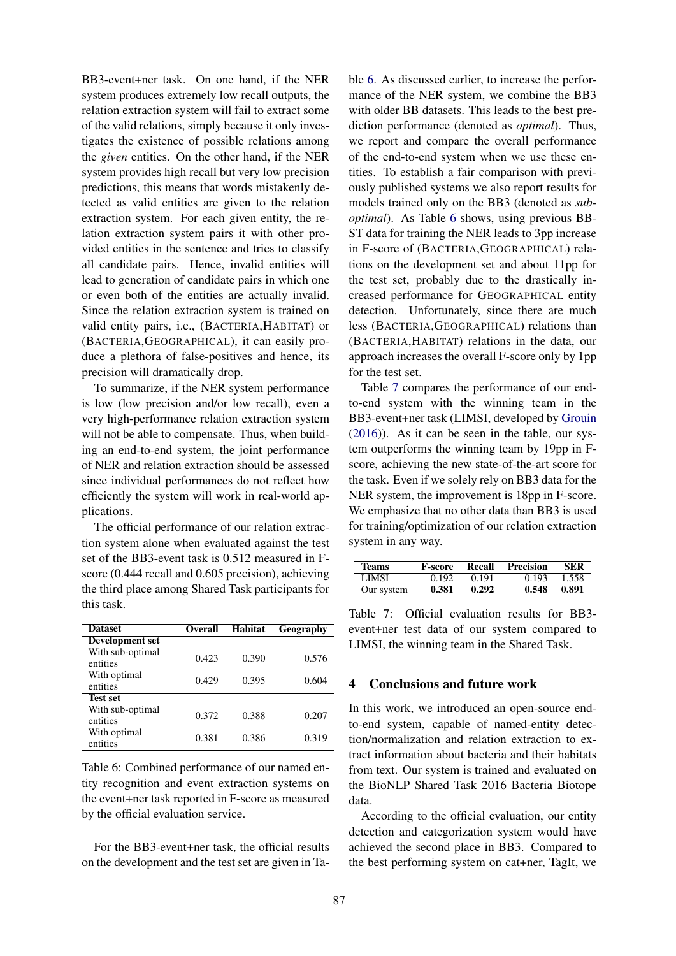BB3-event+ner task. On one hand, if the NER system produces extremely low recall outputs, the relation extraction system will fail to extract some of the valid relations, simply because it only investigates the existence of possible relations among the *given* entities. On the other hand, if the NER system provides high recall but very low precision predictions, this means that words mistakenly detected as valid entities are given to the relation extraction system. For each given entity, the relation extraction system pairs it with other provided entities in the sentence and tries to classify all candidate pairs. Hence, invalid entities will lead to generation of candidate pairs in which one or even both of the entities are actually invalid. Since the relation extraction system is trained on valid entity pairs, i.e., (BACTERIA,HABITAT) or (BACTERIA,GEOGRAPHICAL), it can easily produce a plethora of false-positives and hence, its precision will dramatically drop.

To summarize, if the NER system performance is low (low precision and/or low recall), even a very high-performance relation extraction system will not be able to compensate. Thus, when building an end-to-end system, the joint performance of NER and relation extraction should be assessed since individual performances do not reflect how efficiently the system will work in real-world applications.

The official performance of our relation extraction system alone when evaluated against the test set of the BB3-event task is 0.512 measured in Fscore (0.444 recall and 0.605 precision), achieving the third place among Shared Task participants for this task.

| <b>Dataset</b>               | <b>Overall</b> | Habitat | Geography |
|------------------------------|----------------|---------|-----------|
| <b>Development</b> set       |                |         |           |
| With sub-optimal<br>entities | 0.423          | 0.390   | 0.576     |
| With optimal<br>entities     | 0.429          | 0.395   | 0.604     |
| <b>Test set</b>              |                |         |           |
| With sub-optimal<br>entities | 0.372          | 0.388   | 0.207     |
| With optimal<br>entities     | 0.381          | 0.386   | 0.319     |

Table 6: Combined performance of our named entity recognition and event extraction systems on the event+ner task reported in F-score as measured by the official evaluation service.

For the BB3-event+ner task, the official results on the development and the test set are given in Table 6. As discussed earlier, to increase the performance of the NER system, we combine the BB3 with older BB datasets. This leads to the best prediction performance (denoted as *optimal*). Thus, we report and compare the overall performance of the end-to-end system when we use these entities. To establish a fair comparison with previously published systems we also report results for models trained only on the BB3 (denoted as *suboptimal*). As Table 6 shows, using previous BB-ST data for training the NER leads to 3pp increase in F-score of (BACTERIA,GEOGRAPHICAL) relations on the development set and about 11pp for the test set, probably due to the drastically increased performance for GEOGRAPHICAL entity detection. Unfortunately, since there are much less (BACTERIA,GEOGRAPHICAL) relations than (BACTERIA,HABITAT) relations in the data, our approach increases the overall F-score only by 1pp for the test set.

Table 7 compares the performance of our endto-end system with the winning team in the BB3-event+ner task (LIMSI, developed by Grouin (2016)). As it can be seen in the table, our system outperforms the winning team by 19pp in Fscore, achieving the new state-of-the-art score for the task. Even if we solely rely on BB3 data for the NER system, the improvement is 18pp in F-score. We emphasize that no other data than BB3 is used for training/optimization of our relation extraction system in any way.

| <b>Teams</b> | <b>F-score</b> | Recall | Precision | <b>SER</b> |
|--------------|----------------|--------|-----------|------------|
| LIMSI -      | 0.192          | 0.191  | 0.193     | 1.558      |
| Our system   | 0.381          | 0.292  | 0.548     | 0.891      |

Table 7: Official evaluation results for BB3 event+ner test data of our system compared to LIMSI, the winning team in the Shared Task.

### 4 Conclusions and future work

In this work, we introduced an open-source endto-end system, capable of named-entity detection/normalization and relation extraction to extract information about bacteria and their habitats from text. Our system is trained and evaluated on the BioNLP Shared Task 2016 Bacteria Biotope data.

According to the official evaluation, our entity detection and categorization system would have achieved the second place in BB3. Compared to the best performing system on cat+ner, TagIt, we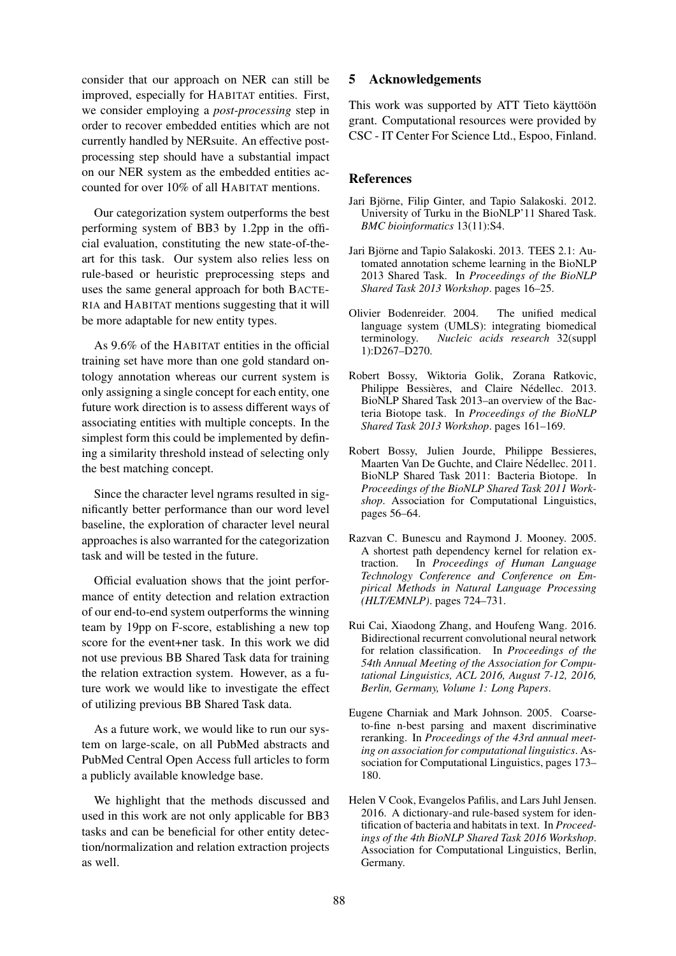consider that our approach on NER can still be improved, especially for HABITAT entities. First, we consider employing a *post-processing* step in order to recover embedded entities which are not currently handled by NERsuite. An effective postprocessing step should have a substantial impact on our NER system as the embedded entities accounted for over 10% of all HABITAT mentions.

Our categorization system outperforms the best performing system of BB3 by 1.2pp in the official evaluation, constituting the new state-of-theart for this task. Our system also relies less on rule-based or heuristic preprocessing steps and uses the same general approach for both BACTE-RIA and HABITAT mentions suggesting that it will be more adaptable for new entity types.

As 9.6% of the HABITAT entities in the official training set have more than one gold standard ontology annotation whereas our current system is only assigning a single concept for each entity, one future work direction is to assess different ways of associating entities with multiple concepts. In the simplest form this could be implemented by defining a similarity threshold instead of selecting only the best matching concept.

Since the character level ngrams resulted in significantly better performance than our word level baseline, the exploration of character level neural approaches is also warranted for the categorization task and will be tested in the future.

Official evaluation shows that the joint performance of entity detection and relation extraction of our end-to-end system outperforms the winning team by 19pp on F-score, establishing a new top score for the event+ner task. In this work we did not use previous BB Shared Task data for training the relation extraction system. However, as a future work we would like to investigate the effect of utilizing previous BB Shared Task data.

As a future work, we would like to run our system on large-scale, on all PubMed abstracts and PubMed Central Open Access full articles to form a publicly available knowledge base.

We highlight that the methods discussed and used in this work are not only applicable for BB3 tasks and can be beneficial for other entity detection/normalization and relation extraction projects as well.

## 5 Acknowledgements

This work was supported by ATT Tieto käyttöön grant. Computational resources were provided by CSC - IT Center For Science Ltd., Espoo, Finland.

### **References**

- Jari Björne, Filip Ginter, and Tapio Salakoski. 2012. University of Turku in the BioNLP'11 Shared Task. *BMC bioinformatics* 13(11):S4.
- Jari Björne and Tapio Salakoski. 2013. TEES 2.1: Automated annotation scheme learning in the BioNLP 2013 Shared Task. In *Proceedings of the BioNLP Shared Task 2013 Workshop*. pages 16–25.
- Olivier Bodenreider. 2004. The unified medical language system (UMLS): integrating biomedical<br>terminology. Nucleic acids research 32(suppl Nucleic acids research 32(suppl 1):D267–D270.
- Robert Bossy, Wiktoria Golik, Zorana Ratkovic, Philippe Bessières, and Claire Nédellec. 2013. BioNLP Shared Task 2013–an overview of the Bacteria Biotope task. In *Proceedings of the BioNLP Shared Task 2013 Workshop*. pages 161–169.
- Robert Bossy, Julien Jourde, Philippe Bessieres, Maarten Van De Guchte, and Claire Nédellec. 2011. BioNLP Shared Task 2011: Bacteria Biotope. In *Proceedings of the BioNLP Shared Task 2011 Workshop*. Association for Computational Linguistics, pages 56–64.
- Razvan C. Bunescu and Raymond J. Mooney. 2005. A shortest path dependency kernel for relation extraction. In *Proceedings of Human Language Technology Conference and Conference on Empirical Methods in Natural Language Processing (HLT/EMNLP)*. pages 724–731.
- Rui Cai, Xiaodong Zhang, and Houfeng Wang. 2016. Bidirectional recurrent convolutional neural network for relation classification. In *Proceedings of the 54th Annual Meeting of the Association for Computational Linguistics, ACL 2016, August 7-12, 2016, Berlin, Germany, Volume 1: Long Papers*.
- Eugene Charniak and Mark Johnson. 2005. Coarseto-fine n-best parsing and maxent discriminative reranking. In *Proceedings of the 43rd annual meeting on association for computational linguistics*. Association for Computational Linguistics, pages 173– 180.
- Helen V Cook, Evangelos Pafilis, and Lars Juhl Jensen. 2016. A dictionary-and rule-based system for identification of bacteria and habitats in text. In *Proceedings of the 4th BioNLP Shared Task 2016 Workshop*. Association for Computational Linguistics, Berlin, Germany.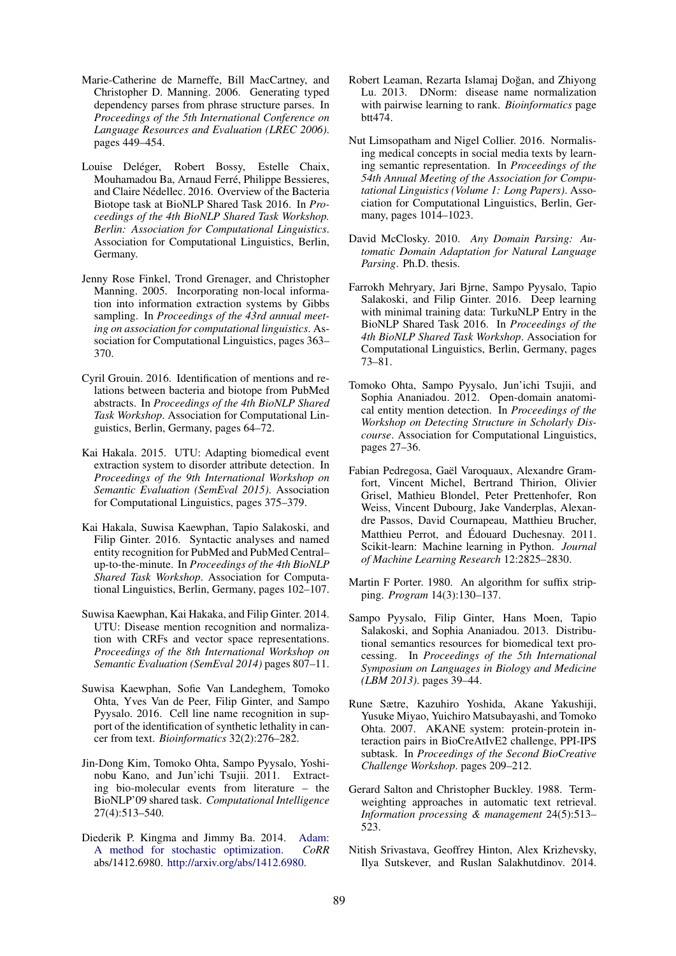- Marie-Catherine de Marneffe, Bill MacCartney, and Christopher D. Manning. 2006. Generating typed dependency parses from phrase structure parses. In *Proceedings of the 5th International Conference on Language Resources and Evaluation (LREC 2006)*. pages 449–454.
- Louise Deléger, Robert Bossy, Estelle Chaix, Mouhamadou Ba, Arnaud Ferré, Philippe Bessieres, and Claire Nédellec. 2016. Overview of the Bacteria Biotope task at BioNLP Shared Task 2016. In *Proceedings of the 4th BioNLP Shared Task Workshop. Berlin: Association for Computational Linguistics*. Association for Computational Linguistics, Berlin, Germany.
- Jenny Rose Finkel, Trond Grenager, and Christopher Manning. 2005. Incorporating non-local information into information extraction systems by Gibbs sampling. In *Proceedings of the 43rd annual meeting on association for computational linguistics*. Association for Computational Linguistics, pages 363– 370.
- Cyril Grouin. 2016. Identification of mentions and relations between bacteria and biotope from PubMed abstracts. In *Proceedings of the 4th BioNLP Shared Task Workshop*. Association for Computational Linguistics, Berlin, Germany, pages 64–72.
- Kai Hakala. 2015. UTU: Adapting biomedical event extraction system to disorder attribute detection. In *Proceedings of the 9th International Workshop on Semantic Evaluation (SemEval 2015)*. Association for Computational Linguistics, pages 375–379.
- Kai Hakala, Suwisa Kaewphan, Tapio Salakoski, and Filip Ginter. 2016. Syntactic analyses and named entity recognition for PubMed and PubMed Central– up-to-the-minute. In *Proceedings of the 4th BioNLP Shared Task Workshop*. Association for Computational Linguistics, Berlin, Germany, pages 102–107.
- Suwisa Kaewphan, Kai Hakaka, and Filip Ginter. 2014. UTU: Disease mention recognition and normalization with CRFs and vector space representations. *Proceedings of the 8th International Workshop on Semantic Evaluation (SemEval 2014)* pages 807–11.
- Suwisa Kaewphan, Sofie Van Landeghem, Tomoko Ohta, Yves Van de Peer, Filip Ginter, and Sampo Pyysalo. 2016. Cell line name recognition in support of the identification of synthetic lethality in cancer from text. *Bioinformatics* 32(2):276–282.
- Jin-Dong Kim, Tomoko Ohta, Sampo Pyysalo, Yoshinobu Kano, and Jun'ichi Tsujii. 2011. Extracting bio-molecular events from literature – the BioNLP'09 shared task. *Computational Intelligence* 27(4):513–540.
- Diederik P. Kingma and Jimmy Ba. 2014. Adam: A method for stochastic optimization. *CoRR* abs/1412.6980. http://arxiv.org/abs/1412.6980.
- Robert Leaman, Rezarta Islamai Doğan, and Zhiyong Lu. 2013. DNorm: disease name normalization with pairwise learning to rank. *Bioinformatics* page btt474.
- Nut Limsopatham and Nigel Collier. 2016. Normalising medical concepts in social media texts by learning semantic representation. In *Proceedings of the 54th Annual Meeting of the Association for Computational Linguistics (Volume 1: Long Papers)*. Association for Computational Linguistics, Berlin, Germany, pages 1014–1023.
- David McClosky. 2010. *Any Domain Parsing: Automatic Domain Adaptation for Natural Language Parsing*. Ph.D. thesis.
- Farrokh Mehryary, Jari Bjrne, Sampo Pyysalo, Tapio Salakoski, and Filip Ginter. 2016. Deep learning with minimal training data: TurkuNLP Entry in the BioNLP Shared Task 2016. In *Proceedings of the 4th BioNLP Shared Task Workshop*. Association for Computational Linguistics, Berlin, Germany, pages 73–81.
- Tomoko Ohta, Sampo Pyysalo, Jun'ichi Tsujii, and Sophia Ananiadou. 2012. Open-domain anatomical entity mention detection. In *Proceedings of the Workshop on Detecting Structure in Scholarly Discourse*. Association for Computational Linguistics, pages 27–36.
- Fabian Pedregosa, Gaël Varoquaux, Alexandre Gramfort, Vincent Michel, Bertrand Thirion, Olivier Grisel, Mathieu Blondel, Peter Prettenhofer, Ron Weiss, Vincent Dubourg, Jake Vanderplas, Alexandre Passos, David Cournapeau, Matthieu Brucher, Matthieu Perrot, and Édouard Duchesnay. 2011. Scikit-learn: Machine learning in Python. *Journal of Machine Learning Research* 12:2825–2830.
- Martin F Porter. 1980. An algorithm for suffix stripping. *Program* 14(3):130–137.
- Sampo Pyysalo, Filip Ginter, Hans Moen, Tapio Salakoski, and Sophia Ananiadou. 2013. Distributional semantics resources for biomedical text processing. In *Proceedings of the 5th International Symposium on Languages in Biology and Medicine (LBM 2013)*. pages 39–44.
- Rune Sætre, Kazuhiro Yoshida, Akane Yakushiji, Yusuke Miyao, Yuichiro Matsubayashi, and Tomoko Ohta. 2007. AKANE system: protein-protein interaction pairs in BioCreAtIvE2 challenge, PPI-IPS subtask. In *Proceedings of the Second BioCreative Challenge Workshop*. pages 209–212.
- Gerard Salton and Christopher Buckley. 1988. Termweighting approaches in automatic text retrieval. *Information processing & management* 24(5):513– 523.
- Nitish Srivastava, Geoffrey Hinton, Alex Krizhevsky, Ilya Sutskever, and Ruslan Salakhutdinov. 2014.